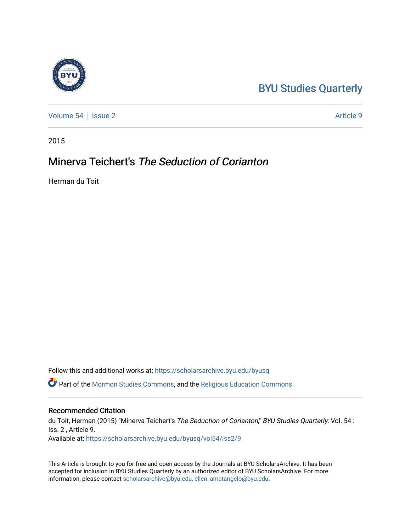## [BYU Studies Quarterly](https://scholarsarchive.byu.edu/byusq)

[Volume 54](https://scholarsarchive.byu.edu/byusq/vol54) | [Issue 2](https://scholarsarchive.byu.edu/byusq/vol54/iss2) Article 9

2015

## Minerva Teichert's The Seduction of Corianton

Herman du Toit

Follow this and additional works at: [https://scholarsarchive.byu.edu/byusq](https://scholarsarchive.byu.edu/byusq?utm_source=scholarsarchive.byu.edu%2Fbyusq%2Fvol54%2Fiss2%2F9&utm_medium=PDF&utm_campaign=PDFCoverPages) 

Part of the [Mormon Studies Commons](http://network.bepress.com/hgg/discipline/1360?utm_source=scholarsarchive.byu.edu%2Fbyusq%2Fvol54%2Fiss2%2F9&utm_medium=PDF&utm_campaign=PDFCoverPages), and the [Religious Education Commons](http://network.bepress.com/hgg/discipline/1414?utm_source=scholarsarchive.byu.edu%2Fbyusq%2Fvol54%2Fiss2%2F9&utm_medium=PDF&utm_campaign=PDFCoverPages) 

## Recommended Citation

du Toit, Herman (2015) "Minerva Teichert's The Seduction of Corianton," BYU Studies Quarterly: Vol. 54 : Iss. 2 , Article 9. Available at: [https://scholarsarchive.byu.edu/byusq/vol54/iss2/9](https://scholarsarchive.byu.edu/byusq/vol54/iss2/9?utm_source=scholarsarchive.byu.edu%2Fbyusq%2Fvol54%2Fiss2%2F9&utm_medium=PDF&utm_campaign=PDFCoverPages)

This Article is brought to you for free and open access by the Journals at BYU ScholarsArchive. It has been accepted for inclusion in BYU Studies Quarterly by an authorized editor of BYU ScholarsArchive. For more information, please contact [scholarsarchive@byu.edu, ellen\\_amatangelo@byu.edu.](mailto:scholarsarchive@byu.edu,%20ellen_amatangelo@byu.edu)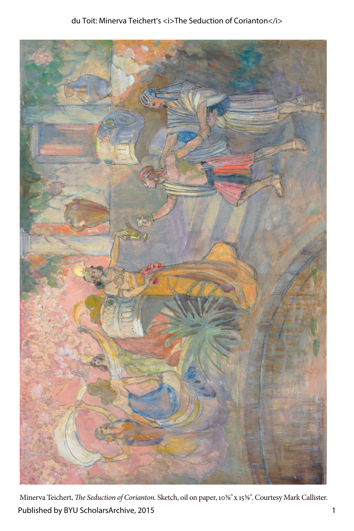

Minerva Teichert, *The Seduction of Corianton.* Sketch, oil on paper, 10⅝*"* x 15⅝*"*. Courtesy Mark Callister. Published by BYU ScholarsArchive, 2015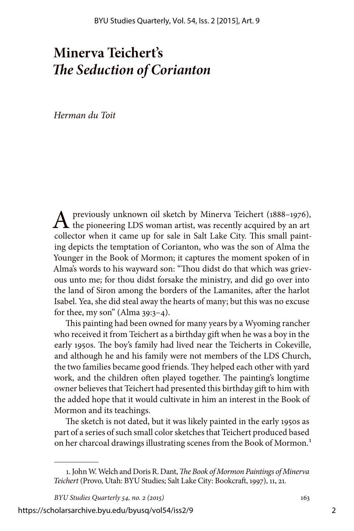## **Minerva Teichert's**  *The Seduction of Corianton*

*Herman du Toit*

 $\Lambda$  previously unknown oil sketch by Minerva Teichert (1888–1976), the pioneering LDS woman artist, was recently acquired by an art collector when it came up for sale in Salt Lake City. This small painting depicts the temptation of Corianton, who was the son of Alma the Younger in the Book of Mormon; it captures the moment spoken of in Alma's words to his wayward son: "Thou didst do that which was grievous unto me; for thou didst forsake the ministry, and did go over into the land of Siron among the borders of the Lamanites, after the harlot Isabel. Yea, she did steal away the hearts of many; but this was no excuse for thee, my son" (Alma  $39:3-4$ ).

This painting had been owned for many years by a Wyoming rancher who received it from Teichert as a birthday gift when he was a boy in the early 1950s. The boy's family had lived near the Teicherts in Cokeville, and although he and his family were not members of the LDS Church, the two families became good friends. They helped each other with yard work, and the children often played together. The painting's longtime owner believes that Teichert had presented this birthday gift to him with the added hope that it would cultivate in him an interest in the Book of Mormon and its teachings.

The sketch is not dated, but it was likely painted in the early 1950s as part of a series of such small color sketches that Teichert produced based on her charcoal drawings illustrating scenes from the Book of Mormon.<sup>1</sup>

*BYU Studies Quarterly 54, no. 2 (2015)* 163

https://scholarsarchive.byu.edu/byusq/vol54/iss2/9

<sup>1.</sup> John W. Welch and Doris R. Dant, *The Book of Mormon Paintings of Minerva Teichert* (Provo, Utah: BYU Studies; Salt Lake City: Bookcraft, 1997), 11, 21.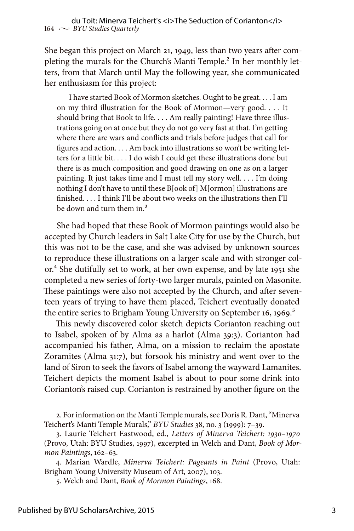She began this project on March 21, 1949, less than two years after completing the murals for the Church's Manti Temple.<sup>2</sup> In her monthly letters, from that March until May the following year, she communicated her enthusiasm for this project:

I have started Book of Mormon sketches. Ought to be great. . . . I am on my third illustration for the Book of Mormon—very good. . . . It should bring that Book to life. . . . Am really painting! Have three illustrations going on at once but they do not go very fast at that. I'm getting where there are wars and conflicts and trials before judges that call for figures and action. . . . Am back into illustrations so won't be writing letters for a little bit. . . . I do wish I could get these illustrations done but there is as much composition and good drawing on one as on a larger painting. It just takes time and I must tell my story well. . . . I'm doing nothing I don't have to until these B[ook of] M[ormon] illustrations are finished. . . . I think I'll be about two weeks on the illustrations then I'll be down and turn them in.<sup>3</sup>

She had hoped that these Book of Mormon paintings would also be accepted by Church leaders in Salt Lake City for use by the Church, but this was not to be the case, and she was advised by unknown sources to reproduce these illustrations on a larger scale and with stronger color.<sup>4</sup> She dutifully set to work, at her own expense, and by late 1951 she completed a new series of forty-two larger murals, painted on Masonite. These paintings were also not accepted by the Church, and after seventeen years of trying to have them placed, Teichert eventually donated the entire series to Brigham Young University on September 16, 1969.<sup>5</sup>

This newly discovered color sketch depicts Corianton reaching out to Isabel, spoken of by Alma as a harlot (Alma 39:3). Corianton had accompanied his father, Alma, on a mission to reclaim the apostate Zoramites (Alma 31:7), but forsook his ministry and went over to the land of Siron to seek the favors of Isabel among the wayward Lamanites. Teichert depicts the moment Isabel is about to pour some drink into Corianton's raised cup. Corianton is restrained by another figure on the

<sup>2.</sup> For information on the Manti Temple murals, see Doris R. Dant, "Minerva Teichert's Manti Temple Murals," *BYU Studies* 38, no. 3 (1999): 7–39.

<sup>3.</sup> Laurie Teichert Eastwood, ed., *Letters of Minerva Teichert: 1930–1970* (Provo, Utah: BYU Studies, 1997), excerpted in Welch and Dant, *Book of Mormon Paintings*, 162–63.

<sup>4.</sup> Marian Wardle, *Minerva Teichert: Pageants in Paint* (Provo, Utah: Brigham Young University Museum of Art, 2007), 103.

<sup>5.</sup> Welch and Dant, *Book of Mormon Paintings*, 168.